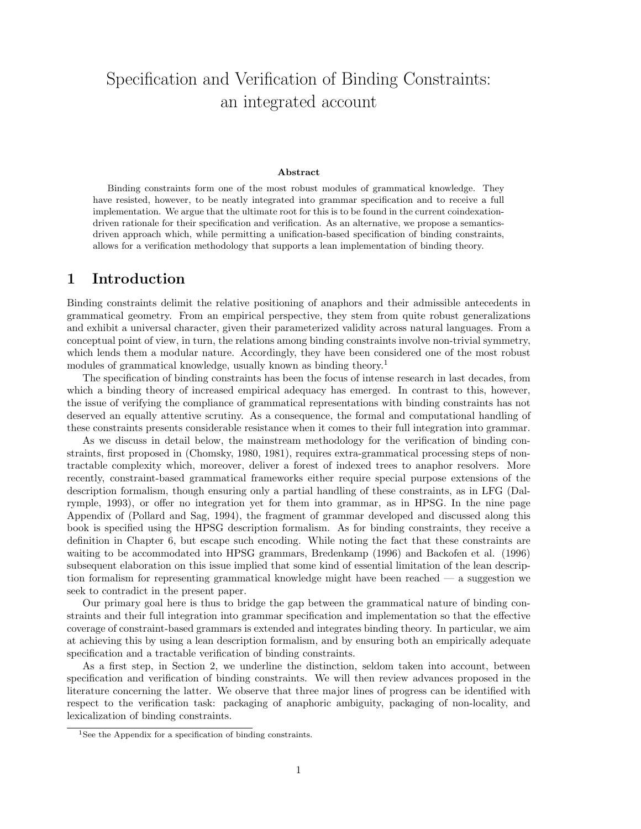# Specification and Verification of Binding Constraints: an integrated account

#### Abstract

Binding constraints form one of the most robust modules of grammatical knowledge. They have resisted, however, to be neatly integrated into grammar specification and to receive a full implementation. We argue that the ultimate root for this is to be found in the current coindexationdriven rationale for their specification and verification. As an alternative, we propose a semanticsdriven approach which, while permitting a unification-based specification of binding constraints, allows for a verification methodology that supports a lean implementation of binding theory.

### 1 Introduction

Binding constraints delimit the relative positioning of anaphors and their admissible antecedents in grammatical geometry. From an empirical perspective, they stem from quite robust generalizations and exhibit a universal character, given their parameterized validity across natural languages. From a conceptual point of view, in turn, the relations among binding constraints involve non-trivial symmetry, which lends them a modular nature. Accordingly, they have been considered one of the most robust modules of grammatical knowledge, usually known as binding theory.<sup>1</sup>

The specification of binding constraints has been the focus of intense research in last decades, from which a binding theory of increased empirical adequacy has emerged. In contrast to this, however, the issue of verifying the compliance of grammatical representations with binding constraints has not deserved an equally attentive scrutiny. As a consequence, the formal and computational handling of these constraints presents considerable resistance when it comes to their full integration into grammar.

As we discuss in detail below, the mainstream methodology for the verification of binding constraints, first proposed in (Chomsky, 1980, 1981), requires extra-grammatical processing steps of nontractable complexity which, moreover, deliver a forest of indexed trees to anaphor resolvers. More recently, constraint-based grammatical frameworks either require special purpose extensions of the description formalism, though ensuring only a partial handling of these constraints, as in LFG (Dalrymple, 1993), or offer no integration yet for them into grammar, as in HPSG. In the nine page Appendix of (Pollard and Sag, 1994), the fragment of grammar developed and discussed along this book is specified using the HPSG description formalism. As for binding constraints, they receive a definition in Chapter 6, but escape such encoding. While noting the fact that these constraints are waiting to be accommodated into HPSG grammars, Bredenkamp (1996) and Backofen et al. (1996) subsequent elaboration on this issue implied that some kind of essential limitation of the lean description formalism for representing grammatical knowledge might have been reached — a suggestion we seek to contradict in the present paper.

Our primary goal here is thus to bridge the gap between the grammatical nature of binding constraints and their full integration into grammar specification and implementation so that the effective coverage of constraint-based grammars is extended and integrates binding theory. In particular, we aim at achieving this by using a lean description formalism, and by ensuring both an empirically adequate specification and a tractable verification of binding constraints.

As a first step, in Section 2, we underline the distinction, seldom taken into account, between specification and verification of binding constraints. We will then review advances proposed in the literature concerning the latter. We observe that three major lines of progress can be identified with respect to the verification task: packaging of anaphoric ambiguity, packaging of non-locality, and lexicalization of binding constraints.

<sup>&</sup>lt;sup>1</sup>See the Appendix for a specification of binding constraints.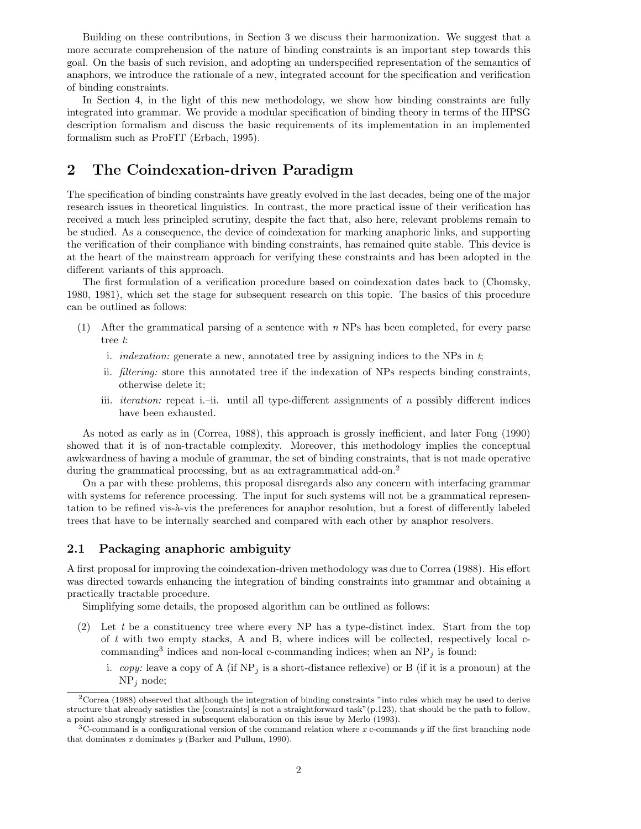Building on these contributions, in Section 3 we discuss their harmonization. We suggest that a more accurate comprehension of the nature of binding constraints is an important step towards this goal. On the basis of such revision, and adopting an underspecified representation of the semantics of anaphors, we introduce the rationale of a new, integrated account for the specification and verification of binding constraints.

In Section 4, in the light of this new methodology, we show how binding constraints are fully integrated into grammar. We provide a modular specification of binding theory in terms of the HPSG description formalism and discuss the basic requirements of its implementation in an implemented formalism such as ProFIT (Erbach, 1995).

## 2 The Coindexation-driven Paradigm

The specification of binding constraints have greatly evolved in the last decades, being one of the major research issues in theoretical linguistics. In contrast, the more practical issue of their verification has received a much less principled scrutiny, despite the fact that, also here, relevant problems remain to be studied. As a consequence, the device of coindexation for marking anaphoric links, and supporting the verification of their compliance with binding constraints, has remained quite stable. This device is at the heart of the mainstream approach for verifying these constraints and has been adopted in the different variants of this approach.

The first formulation of a verification procedure based on coindexation dates back to (Chomsky, 1980, 1981), which set the stage for subsequent research on this topic. The basics of this procedure can be outlined as follows:

- (1) After the grammatical parsing of a sentence with n NPs has been completed, for every parse tree t:
	- i. *indexation:* generate a new, annotated tree by assigning indices to the NPs in  $t$ ;
	- ii. filtering: store this annotated tree if the indexation of NPs respects binding constraints, otherwise delete it;
	- iii. iteration: repeat i.–ii. until all type-different assignments of n possibly different indices have been exhausted.

As noted as early as in (Correa, 1988), this approach is grossly inefficient, and later Fong (1990) showed that it is of non-tractable complexity. Moreover, this methodology implies the conceptual awkwardness of having a module of grammar, the set of binding constraints, that is not made operative during the grammatical processing, but as an extragrammatical add-on.<sup>2</sup>

On a par with these problems, this proposal disregards also any concern with interfacing grammar with systems for reference processing. The input for such systems will not be a grammatical representation to be refined vis-à-vis the preferences for anaphor resolution, but a forest of differently labeled trees that have to be internally searched and compared with each other by anaphor resolvers.

### 2.1 Packaging anaphoric ambiguity

A first proposal for improving the coindexation-driven methodology was due to Correa (1988). His effort was directed towards enhancing the integration of binding constraints into grammar and obtaining a practically tractable procedure.

Simplifying some details, the proposed algorithm can be outlined as follows:

- $(2)$  Let t be a constituency tree where every NP has a type-distinct index. Start from the top of  $t$  with two empty stacks, A and B, where indices will be collected, respectively local  $c$ commanding<sup>3</sup> indices and non-local c-commanding indices; when an  $NP_j$  is found:
	- i. copy: leave a copy of A (if  $NP<sub>j</sub>$  is a short-distance reflexive) or B (if it is a pronoun) at the  $NP<sub>j</sub>$  node;

<sup>2</sup>Correa (1988) observed that although the integration of binding constraints "into rules which may be used to derive structure that already satisfies the [constraints] is not a straightforward task"(p.123), that should be the path to follow, a point also strongly stressed in subsequent elaboration on this issue by Merlo (1993).

 $3C$ -command is a configurational version of the command relation where x c-commands y iff the first branching node that dominates  $x$  dominates  $y$  (Barker and Pullum, 1990).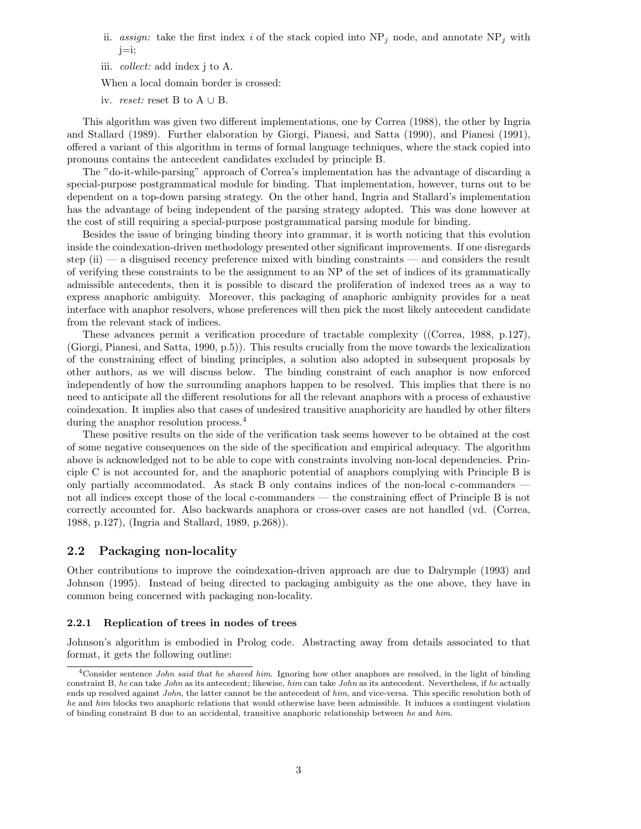- ii. assign: take the first index i of the stack copied into  $NP_i$  node, and annotate  $NP_i$  with j=i;
- iii. collect: add index j to A.

When a local domain border is crossed:

iv. *reset:* reset B to  $A \cup B$ .

This algorithm was given two different implementations, one by Correa (1988), the other by Ingria and Stallard (1989). Further elaboration by Giorgi, Pianesi, and Satta (1990), and Pianesi (1991), offered a variant of this algorithm in terms of formal language techniques, where the stack copied into pronouns contains the antecedent candidates excluded by principle B.

The "do-it-while-parsing" approach of Correa's implementation has the advantage of discarding a special-purpose postgrammatical module for binding. That implementation, however, turns out to be dependent on a top-down parsing strategy. On the other hand, Ingria and Stallard's implementation has the advantage of being independent of the parsing strategy adopted. This was done however at the cost of still requiring a special-purpose postgrammatical parsing module for binding.

Besides the issue of bringing binding theory into grammar, it is worth noticing that this evolution inside the coindexation-driven methodology presented other significant improvements. If one disregards step (ii) — a disguised recency preference mixed with binding constraints — and considers the result of verifying these constraints to be the assignment to an NP of the set of indices of its grammatically admissible antecedents, then it is possible to discard the proliferation of indexed trees as a way to express anaphoric ambiguity. Moreover, this packaging of anaphoric ambiguity provides for a neat interface with anaphor resolvers, whose preferences will then pick the most likely antecedent candidate from the relevant stack of indices.

These advances permit a verification procedure of tractable complexity ((Correa, 1988, p.127), (Giorgi, Pianesi, and Satta, 1990, p.5)). This results crucially from the move towards the lexicalization of the constraining effect of binding principles, a solution also adopted in subsequent proposals by other authors, as we will discuss below. The binding constraint of each anaphor is now enforced independently of how the surrounding anaphors happen to be resolved. This implies that there is no need to anticipate all the different resolutions for all the relevant anaphors with a process of exhaustive coindexation. It implies also that cases of undesired transitive anaphoricity are handled by other filters during the anaphor resolution process.<sup>4</sup>

These positive results on the side of the verification task seems however to be obtained at the cost of some negative consequences on the side of the specification and empirical adequacy. The algorithm above is acknowledged not to be able to cope with constraints involving non-local dependencies. Principle C is not accounted for, and the anaphoric potential of anaphors complying with Principle B is only partially accommodated. As stack B only contains indices of the non-local c-commanders not all indices except those of the local c-commanders — the constraining effect of Principle B is not correctly accounted for. Also backwards anaphora or cross-over cases are not handled (vd. (Correa, 1988, p.127), (Ingria and Stallard, 1989, p.268)).

### 2.2 Packaging non-locality

Other contributions to improve the coindexation-driven approach are due to Dalrymple (1993) and Johnson (1995). Instead of being directed to packaging ambiguity as the one above, they have in common being concerned with packaging non-locality.

#### 2.2.1 Replication of trees in nodes of trees

Johnson's algorithm is embodied in Prolog code. Abstracting away from details associated to that format, it gets the following outline:

 $4$ Consider sentence *John said that he shaved him*. Ignoring how other anaphors are resolved, in the light of binding constraint B, he can take John as its antecedent; likewise, him can take John as its antecedent. Nevertheless, if he actually ends up resolved against *John*, the latter cannot be the antecedent of him, and vice-versa. This specific resolution both of he and him blocks two anaphoric relations that would otherwise have been admissible. It induces a contingent violation of binding constraint B due to an accidental, transitive anaphoric relationship between he and him.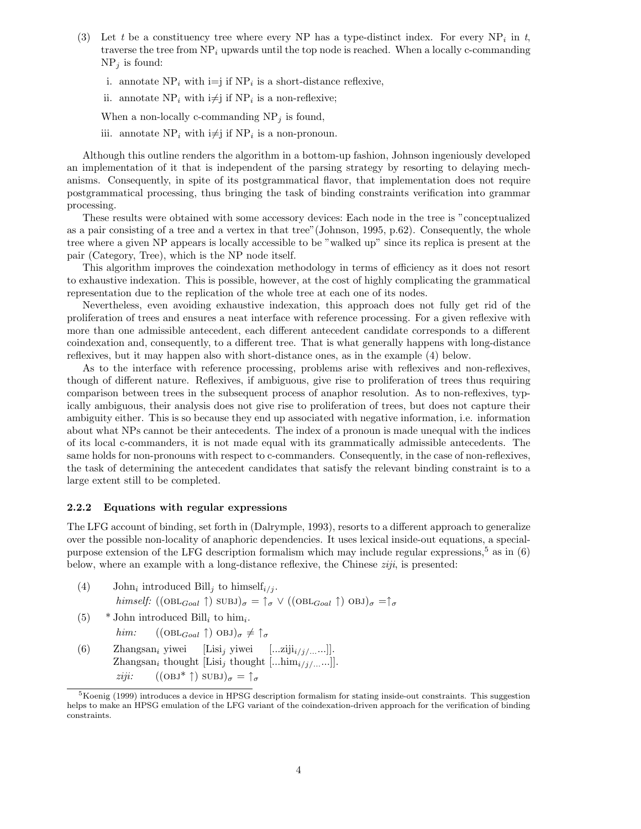- (3) Let t be a constituency tree where every NP has a type-distinct index. For every  $NP_i$  in t, traverse the tree from  $NP_i$  upwards until the top node is reached. When a locally c-commanding  $NP_i$  is found:
	- i. annotate  $NP_i$  with  $i=j$  if  $NP_i$  is a short-distance reflexive,
	- ii. annotate  $NP_i$  with  $i \neq j$  if  $NP_i$  is a non-reflexive;

When a non-locally c-commanding  $NP_j$  is found,

iii. annotate  $NP_i$  with  $i \neq j$  if  $NP_i$  is a non-pronoun.

Although this outline renders the algorithm in a bottom-up fashion, Johnson ingeniously developed an implementation of it that is independent of the parsing strategy by resorting to delaying mechanisms. Consequently, in spite of its postgrammatical flavor, that implementation does not require postgrammatical processing, thus bringing the task of binding constraints verification into grammar processing.

These results were obtained with some accessory devices: Each node in the tree is "conceptualized as a pair consisting of a tree and a vertex in that tree"(Johnson, 1995, p.62). Consequently, the whole tree where a given NP appears is locally accessible to be "walked up" since its replica is present at the pair (Category, Tree), which is the NP node itself.

This algorithm improves the coindexation methodology in terms of efficiency as it does not resort to exhaustive indexation. This is possible, however, at the cost of highly complicating the grammatical representation due to the replication of the whole tree at each one of its nodes.

Nevertheless, even avoiding exhaustive indexation, this approach does not fully get rid of the proliferation of trees and ensures a neat interface with reference processing. For a given reflexive with more than one admissible antecedent, each different antecedent candidate corresponds to a different coindexation and, consequently, to a different tree. That is what generally happens with long-distance reflexives, but it may happen also with short-distance ones, as in the example (4) below.

As to the interface with reference processing, problems arise with reflexives and non-reflexives, though of different nature. Reflexives, if ambiguous, give rise to proliferation of trees thus requiring comparison between trees in the subsequent process of anaphor resolution. As to non-reflexives, typically ambiguous, their analysis does not give rise to proliferation of trees, but does not capture their ambiguity either. This is so because they end up associated with negative information, i.e. information about what NPs cannot be their antecedents. The index of a pronoun is made unequal with the indices of its local c-commanders, it is not made equal with its grammatically admissible antecedents. The same holds for non-pronouns with respect to c-commanders. Consequently, in the case of non-reflexives, the task of determining the antecedent candidates that satisfy the relevant binding constraint is to a large extent still to be completed.

#### 2.2.2 Equations with regular expressions

The LFG account of binding, set forth in (Dalrymple, 1993), resorts to a different approach to generalize over the possible non-locality of anaphoric dependencies. It uses lexical inside-out equations, a specialpurpose extension of the LFG description formalism which may include regular expressions,<sup>5</sup> as in  $(6)$ below, where an example with a long-distance reflexive, the Chinese  $ziji$ , is presented:

- (4) John<sub>i</sub> introduced Bill<sub>j</sub> to himself<sub>i/j</sub>. himself:  $((\text{OBL}_{Goal} \uparrow) \text{ SUBJ})_{\sigma} = \uparrow_{\sigma} \vee ((\text{OBL}_{Goal} \uparrow) \text{ OBJ})_{\sigma} = \uparrow_{\sigma}$
- (5)  $*$  John introduced Bill<sub>i</sub> to him<sub>i</sub>.
	- him:  $((\text{OBL}_{Goal} \uparrow) \text{OBJ})_{\sigma} \neq \uparrow_{\sigma}$
- (6) Zhangsan<sub>i</sub> yiwei [Lisi<sub>j</sub> yiwei [...ziji<sub>i/j/...</sub>...]]. Zhangsan<sub>i</sub> thought [Lisi<sub>j</sub> thought [...him<sub>i/j/...</sub>...]]. ziji:  $((OBJ^{\ast} \uparrow) SUBJ)_{\sigma} = \uparrow_{\sigma}$

<sup>5</sup>Koenig (1999) introduces a device in HPSG description formalism for stating inside-out constraints. This suggestion helps to make an HPSG emulation of the LFG variant of the coindexation-driven approach for the verification of binding constraints.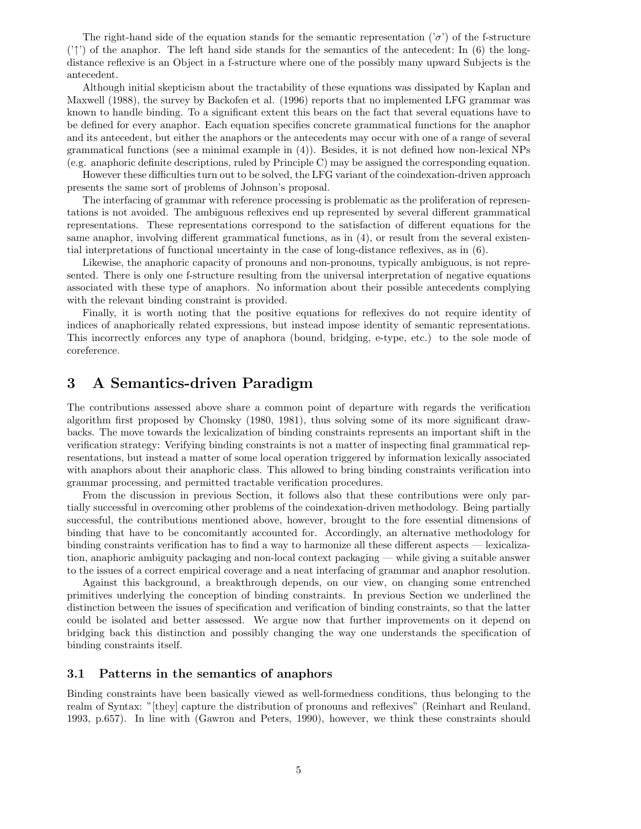The right-hand side of the equation stands for the semantic representation  $(\sigma)$  of the f-structure  $('')$  of the anaphor. The left hand side stands for the semantics of the antecedent: In (6) the longdistance reflexive is an Object in a f-structure where one of the possibly many upward Subjects is the antecedent.

Although initial skepticism about the tractability of these equations was dissipated by Kaplan and Maxwell (1988), the survey by Backofen et al. (1996) reports that no implemented LFG grammar was known to handle binding. To a significant extent this bears on the fact that several equations have to be defined for every anaphor. Each equation specifies concrete grammatical functions for the anaphor and its antecedent, but either the anaphors or the antecedents may occur with one of a range of several grammatical functions (see a minimal example in (4)). Besides, it is not defined how non-lexical NPs (e.g. anaphoric definite descriptions, ruled by Principle C) may be assigned the corresponding equation.

However these difficulties turn out to be solved, the LFG variant of the coindexation-driven approach presents the same sort of problems of Johnson's proposal.

The interfacing of grammar with reference processing is problematic as the proliferation of representations is not avoided. The ambiguous reflexives end up represented by several different grammatical representations. These representations correspond to the satisfaction of different equations for the same anaphor, involving different grammatical functions, as in (4), or result from the several existential interpretations of functional uncertainty in the case of long-distance reflexives, as in (6).

Likewise, the anaphoric capacity of pronouns and non-pronouns, typically ambiguous, is not represented. There is only one f-structure resulting from the universal interpretation of negative equations associated with these type of anaphors. No information about their possible antecedents complying with the relevant binding constraint is provided.

Finally, it is worth noting that the positive equations for reflexives do not require identity of indices of anaphorically related expressions, but instead impose identity of semantic representations. This incorrectly enforces any type of anaphora (bound, bridging, e-type, etc.) to the sole mode of coreference.

### 3 A Semantics-driven Paradigm

The contributions assessed above share a common point of departure with regards the verification algorithm first proposed by Chomsky (1980, 1981), thus solving some of its more significant drawbacks. The move towards the lexicalization of binding constraints represents an important shift in the verification strategy: Verifying binding constraints is not a matter of inspecting final grammatical representations, but instead a matter of some local operation triggered by information lexically associated with anaphors about their anaphoric class. This allowed to bring binding constraints verification into grammar processing, and permitted tractable verification procedures.

From the discussion in previous Section, it follows also that these contributions were only partially successful in overcoming other problems of the coindexation-driven methodology. Being partially successful, the contributions mentioned above, however, brought to the fore essential dimensions of binding that have to be concomitantly accounted for. Accordingly, an alternative methodology for binding constraints verification has to find a way to harmonize all these different aspects — lexicalization, anaphoric ambiguity packaging and non-local context packaging — while giving a suitable answer to the issues of a correct empirical coverage and a neat interfacing of grammar and anaphor resolution.

Against this background, a breakthrough depends, on our view, on changing some entrenched primitives underlying the conception of binding constraints. In previous Section we underlined the distinction between the issues of specification and verification of binding constraints, so that the latter could be isolated and better assessed. We argue now that further improvements on it depend on bridging back this distinction and possibly changing the way one understands the specification of binding constraints itself.

### 3.1 Patterns in the semantics of anaphors

Binding constraints have been basically viewed as well-formedness conditions, thus belonging to the realm of Syntax: "[they] capture the distribution of pronouns and reflexives" (Reinhart and Reuland, 1993, p.657). In line with (Gawron and Peters, 1990), however, we think these constraints should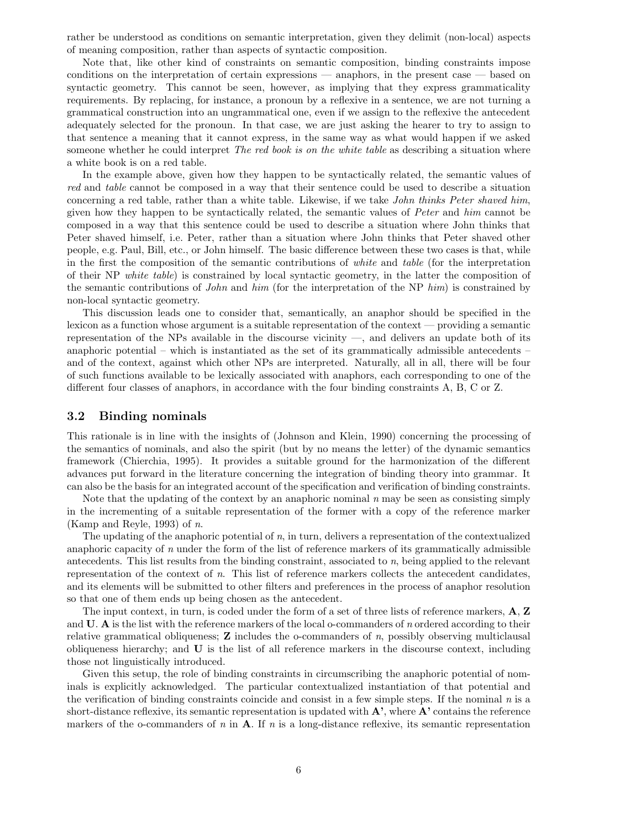rather be understood as conditions on semantic interpretation, given they delimit (non-local) aspects of meaning composition, rather than aspects of syntactic composition.

Note that, like other kind of constraints on semantic composition, binding constraints impose conditions on the interpretation of certain expressions — anaphors, in the present case — based on syntactic geometry. This cannot be seen, however, as implying that they express grammaticality requirements. By replacing, for instance, a pronoun by a reflexive in a sentence, we are not turning a grammatical construction into an ungrammatical one, even if we assign to the reflexive the antecedent adequately selected for the pronoun. In that case, we are just asking the hearer to try to assign to that sentence a meaning that it cannot express, in the same way as what would happen if we asked someone whether he could interpret *The red book is on the white table* as describing a situation where a white book is on a red table.

In the example above, given how they happen to be syntactically related, the semantic values of red and table cannot be composed in a way that their sentence could be used to describe a situation concerning a red table, rather than a white table. Likewise, if we take John thinks Peter shaved him, given how they happen to be syntactically related, the semantic values of Peter and him cannot be composed in a way that this sentence could be used to describe a situation where John thinks that Peter shaved himself, i.e. Peter, rather than a situation where John thinks that Peter shaved other people, e.g. Paul, Bill, etc., or John himself. The basic difference between these two cases is that, while in the first the composition of the semantic contributions of white and table (for the interpretation of their NP white table) is constrained by local syntactic geometry, in the latter the composition of the semantic contributions of John and him (for the interpretation of the NP him) is constrained by non-local syntactic geometry.

This discussion leads one to consider that, semantically, an anaphor should be specified in the lexicon as a function whose argument is a suitable representation of the context — providing a semantic representation of the NPs available in the discourse vicinity —, and delivers an update both of its anaphoric potential – which is instantiated as the set of its grammatically admissible antecedents – and of the context, against which other NPs are interpreted. Naturally, all in all, there will be four of such functions available to be lexically associated with anaphors, each corresponding to one of the different four classes of anaphors, in accordance with the four binding constraints A, B, C or Z.

#### 3.2 Binding nominals

This rationale is in line with the insights of (Johnson and Klein, 1990) concerning the processing of the semantics of nominals, and also the spirit (but by no means the letter) of the dynamic semantics framework (Chierchia, 1995). It provides a suitable ground for the harmonization of the different advances put forward in the literature concerning the integration of binding theory into grammar. It can also be the basis for an integrated account of the specification and verification of binding constraints.

Note that the updating of the context by an anaphoric nominal  $n \text{ may be seen as consisting simply}$ in the incrementing of a suitable representation of the former with a copy of the reference marker (Kamp and Reyle, 1993) of n.

The updating of the anaphoric potential of  $n$ , in turn, delivers a representation of the contextualized anaphoric capacity of n under the form of the list of reference markers of its grammatically admissible antecedents. This list results from the binding constraint, associated to  $n$ , being applied to the relevant representation of the context of n. This list of reference markers collects the antecedent candidates, and its elements will be submitted to other filters and preferences in the process of anaphor resolution so that one of them ends up being chosen as the antecedent.

The input context, in turn, is coded under the form of a set of three lists of reference markers, A, Z and  $U$ . A is the list with the reference markers of the local o-commanders of n ordered according to their relative grammatical obliqueness;  $\bf{Z}$  includes the o-commanders of  $n$ , possibly observing multiclausal obliqueness hierarchy; and U is the list of all reference markers in the discourse context, including those not linguistically introduced.

Given this setup, the role of binding constraints in circumscribing the anaphoric potential of nominals is explicitly acknowledged. The particular contextualized instantiation of that potential and the verification of binding constraints coincide and consist in a few simple steps. If the nominal  $n$  is a short-distance reflexive, its semantic representation is updated with  $\mathbf{A}^*$ , where  $\mathbf{A}^*$  contains the reference markers of the o-commanders of n in  $A$ . If n is a long-distance reflexive, its semantic representation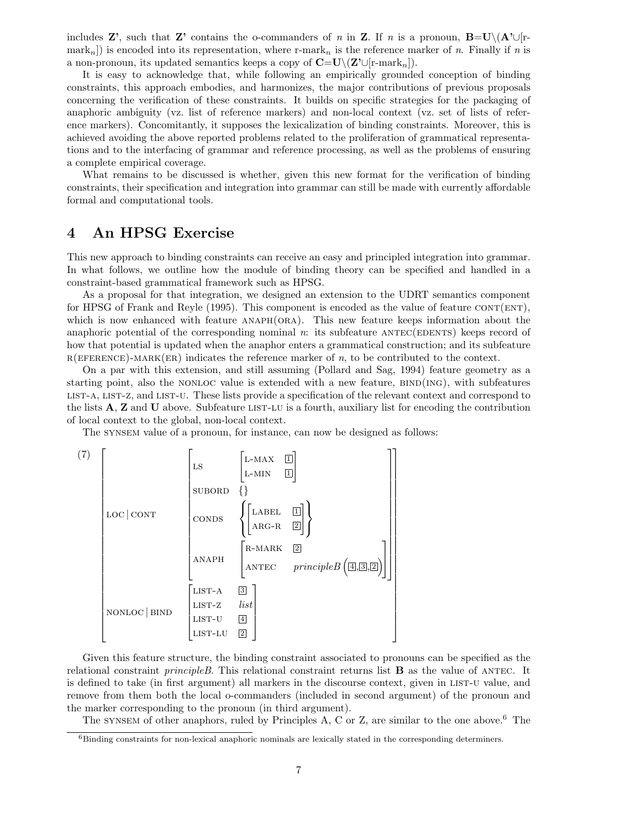includes Z', such that Z' contains the o-commanders of n in Z. If n is a pronoun,  $B=U\setminus (A'\cup [r$ mark<sub>n</sub>]) is encoded into its representation, where r-mark<sub>n</sub> is the reference marker of n. Finally if n is a non-pronoun, its updated semantics keeps a copy of  $\mathbb{C}=\mathbb{U}\setminus(\mathbb{Z}'\cup[\mathbb{r}\text{-mark}_n])$ .

It is easy to acknowledge that, while following an empirically grounded conception of binding constraints, this approach embodies, and harmonizes, the major contributions of previous proposals concerning the verification of these constraints. It builds on specific strategies for the packaging of anaphoric ambiguity (vz. list of reference markers) and non-local context (vz. set of lists of reference markers). Concomitantly, it supposes the lexicalization of binding constraints. Moreover, this is achieved avoiding the above reported problems related to the proliferation of grammatical representations and to the interfacing of grammar and reference processing, as well as the problems of ensuring a complete empirical coverage.

What remains to be discussed is whether, given this new format for the verification of binding constraints, their specification and integration into grammar can still be made with currently affordable formal and computational tools.

### 4 An HPSG Exercise

This new approach to binding constraints can receive an easy and principled integration into grammar. In what follows, we outline how the module of binding theory can be specified and handled in a constraint-based grammatical framework such as HPSG.

As a proposal for that integration, we designed an extension to the UDRT semantics component for HPSG of Frank and Reyle (1995). This component is encoded as the value of feature  $CONT(ENT)$ , which is now enhanced with feature  $ANAPH(ORA)$ . This new feature keeps information about the anaphoric potential of the corresponding nominal  $n$ : its subfeature  $\text{ANTEC}(\text{EDENTS})$  keeps record of how that potential is updated when the anaphor enters a grammatical construction; and its subfeature  $R(EFERENCE)$ -MARK(ER) indicates the reference marker of n, to be contributed to the context.

On a par with this extension, and still assuming (Pollard and Sag, 1994) feature geometry as a starting point, also the NONLOC value is extended with a new feature,  $BIND(ING)$ , with subfeatures list-a, list-z, and list-u. These lists provide a specification of the relevant context and correspond to the lists  $A$ ,  $Z$  and  $U$  above. Subfeature LIST-LU is a fourth, auxiliary list for encoding the contribution of local context to the global, non-local context.

The synsem value of a pronoun, for instance, can now be designed as follows:



Given this feature structure, the binding constraint associated to pronouns can be specified as the relational constraint *principleB*. This relational constraint returns list  $\bf{B}$  as the value of ANTEC. It is defined to take (in first argument) all markers in the discourse context, given in list-u value, and remove from them both the local o-commanders (included in second argument) of the pronoun and the marker corresponding to the pronoun (in third argument).

The synsem of other anaphors, ruled by Principles A, C or Z, are similar to the one above.<sup>6</sup> The

 $6B$ inding constraints for non-lexical anaphoric nominals are lexically stated in the corresponding determiners.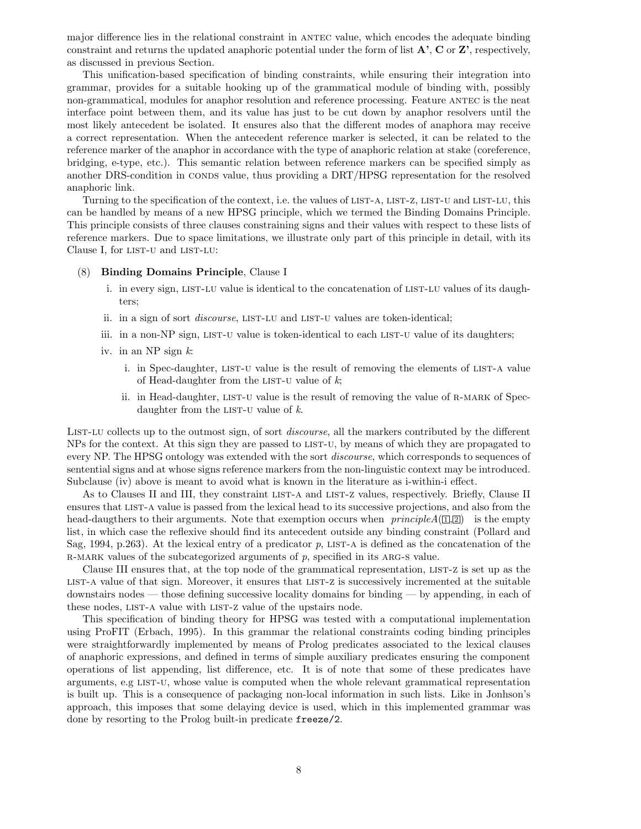major difference lies in the relational constraint in ANTEC value, which encodes the adequate binding constraint and returns the updated anaphoric potential under the form of list  $\mathbf{A}^{\prime}$ ,  $\mathbf{C}$  or  $\mathbf{Z}^{\prime}$ , respectively, as discussed in previous Section.

This unification-based specification of binding constraints, while ensuring their integration into grammar, provides for a suitable hooking up of the grammatical module of binding with, possibly non-grammatical, modules for anaphor resolution and reference processing. Feature ANTEC is the neat interface point between them, and its value has just to be cut down by anaphor resolvers until the most likely antecedent be isolated. It ensures also that the different modes of anaphora may receive a correct representation. When the antecedent reference marker is selected, it can be related to the reference marker of the anaphor in accordance with the type of anaphoric relation at stake (coreference, bridging, e-type, etc.). This semantic relation between reference markers can be specified simply as another DRS-condition in CONDS value, thus providing a DRT/HPSG representation for the resolved anaphoric link.

Turning to the specification of the context, i.e. the values of list-a, list-z, list-u and list-lu, this can be handled by means of a new HPSG principle, which we termed the Binding Domains Principle. This principle consists of three clauses constraining signs and their values with respect to these lists of reference markers. Due to space limitations, we illustrate only part of this principle in detail, with its Clause I, for LIST-U and LIST-LU:

#### (8) Binding Domains Principle, Clause I

- i. in every sign, LIST-LU value is identical to the concatenation of LIST-LU values of its daughters;
- ii. in a sign of sort *discourse*, LIST-LU and LIST-U values are token-identical;
- iii. in a non-NP sign, LIST-U value is token-identical to each LIST-U value of its daughters;
- iv. in an NP sign  $k$ :
	- i. in Spec-daughter, LIST-U value is the result of removing the elements of LIST-A value of Head-daughter from the LIST-U value of  $k$ ;
	- ii. in Head-daughter, LIST-U value is the result of removing the value of R-MARK of Specdaughter from the LIST-U value of  $k$ .

LIST-LU collects up to the outmost sign, of sort *discourse*, all the markers contributed by the different NPs for the context. At this sign they are passed to list-u, by means of which they are propagated to every NP. The HPSG ontology was extended with the sort *discourse*, which corresponds to sequences of sentential signs and at whose signs reference markers from the non-linguistic context may be introduced. Subclause (iv) above is meant to avoid what is known in the literature as i-within-i effect.

As to Clauses II and III, they constraint LIST-A and LIST-Z values, respectively. Briefly, Clause II ensures that list-a value is passed from the lexical head to its successive projections, and also from the head-daugthers to their arguments. Note that exemption occurs when  $principle A(\mathbb{I}, \mathbb{Z})$  is the empty list, in which case the reflexive should find its antecedent outside any binding constraint (Pollard and Sag, 1994, p.263). At the lexical entry of a predicator p, LIST-A is defined as the concatenation of the R-MARK values of the subcategorized arguments of  $p$ , specified in its ARG-S value.

Clause III ensures that, at the top node of the grammatical representation, list-z is set up as the list-a value of that sign. Moreover, it ensures that list-z is successively incremented at the suitable downstairs nodes — those defining successive locality domains for binding — by appending, in each of these nodes, LIST-A value with LIST-Z value of the upstairs node.

This specification of binding theory for HPSG was tested with a computational implementation using ProFIT (Erbach, 1995). In this grammar the relational constraints coding binding principles were straightforwardly implemented by means of Prolog predicates associated to the lexical clauses of anaphoric expressions, and defined in terms of simple auxiliary predicates ensuring the component operations of list appending, list difference, etc. It is of note that some of these predicates have arguments, e.g list-u, whose value is computed when the whole relevant grammatical representation is built up. This is a consequence of packaging non-local information in such lists. Like in Jonhson's approach, this imposes that some delaying device is used, which in this implemented grammar was done by resorting to the Prolog built-in predicate freeze/2.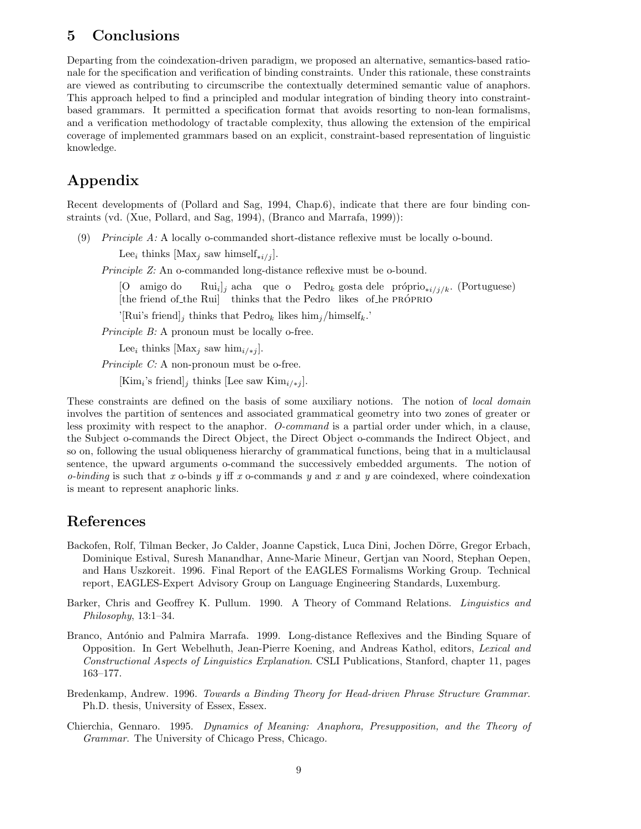# 5 Conclusions

Departing from the coindexation-driven paradigm, we proposed an alternative, semantics-based rationale for the specification and verification of binding constraints. Under this rationale, these constraints are viewed as contributing to circumscribe the contextually determined semantic value of anaphors. This approach helped to find a principled and modular integration of binding theory into constraintbased grammars. It permitted a specification format that avoids resorting to non-lean formalisms, and a verification methodology of tractable complexity, thus allowing the extension of the empirical coverage of implemented grammars based on an explicit, constraint-based representation of linguistic knowledge.

# Appendix

Recent developments of (Pollard and Sag, 1994, Chap.6), indicate that there are four binding constraints (vd. (Xue, Pollard, and Sag, 1994), (Branco and Marrafa, 1999)):

(9) Principle  $A: A$  locally o-commanded short-distance reflexive must be locally o-bound.

Lee<sub>i</sub> thinks [Max<sub>j</sub> saw himself<sub>\*i/j</sub>].

Principle Z: An o-commanded long-distance reflexive must be o-bound.

[O amigo do [the friend of the Rui] thinks that the Pedro likes of he PRÓPRIO  $\text{Rui}_i|_j$  acha que o Pedro<sub>k</sub> gosta dele próprio<sub>\*i/j/k</sub>. (Portuguese)

'[Rui's friend]<sub>j</sub> thinks that Pedro<sub>k</sub> likes  $\lim_{i}$ /himself<sub>k</sub>.'

Principle B: A pronoun must be locally o-free.

Lee<sub>i</sub> thinks [Max<sub>j</sub> saw him<sub>i/\*j</sub>].

Principle C: A non-pronoun must be o-free.

 $[\text{Kim}_i\text{'s friend}]_j$  thinks [Lee saw  $\text{Kim}_{i\text{/} \ast j}$ ].

These constraints are defined on the basis of some auxiliary notions. The notion of local domain involves the partition of sentences and associated grammatical geometry into two zones of greater or less proximity with respect to the anaphor. O-command is a partial order under which, in a clause, the Subject o-commands the Direct Object, the Direct Object o-commands the Indirect Object, and so on, following the usual obliqueness hierarchy of grammatical functions, being that in a multiclausal sentence, the upward arguments o-command the successively embedded arguments. The notion of  $o$ -binding is such that x  $o$ -binds y iff x  $o$ -commands y and x and y are coindexed, where coindexation is meant to represent anaphoric links.

### References

- Backofen, Rolf, Tilman Becker, Jo Calder, Joanne Capstick, Luca Dini, Jochen Dörre, Gregor Erbach, Dominique Estival, Suresh Manandhar, Anne-Marie Mineur, Gertjan van Noord, Stephan Oepen, and Hans Uszkoreit. 1996. Final Report of the EAGLES Formalisms Working Group. Technical report, EAGLES-Expert Advisory Group on Language Engineering Standards, Luxemburg.
- Barker, Chris and Geoffrey K. Pullum. 1990. A Theory of Command Relations. Linguistics and Philosophy, 13:1–34.
- Branco, António and Palmira Marrafa. 1999. Long-distance Reflexives and the Binding Square of Opposition. In Gert Webelhuth, Jean-Pierre Koening, and Andreas Kathol, editors, Lexical and Constructional Aspects of Linguistics Explanation. CSLI Publications, Stanford, chapter 11, pages 163–177.
- Bredenkamp, Andrew. 1996. Towards a Binding Theory for Head-driven Phrase Structure Grammar. Ph.D. thesis, University of Essex, Essex.
- Chierchia, Gennaro. 1995. Dynamics of Meaning: Anaphora, Presupposition, and the Theory of Grammar. The University of Chicago Press, Chicago.